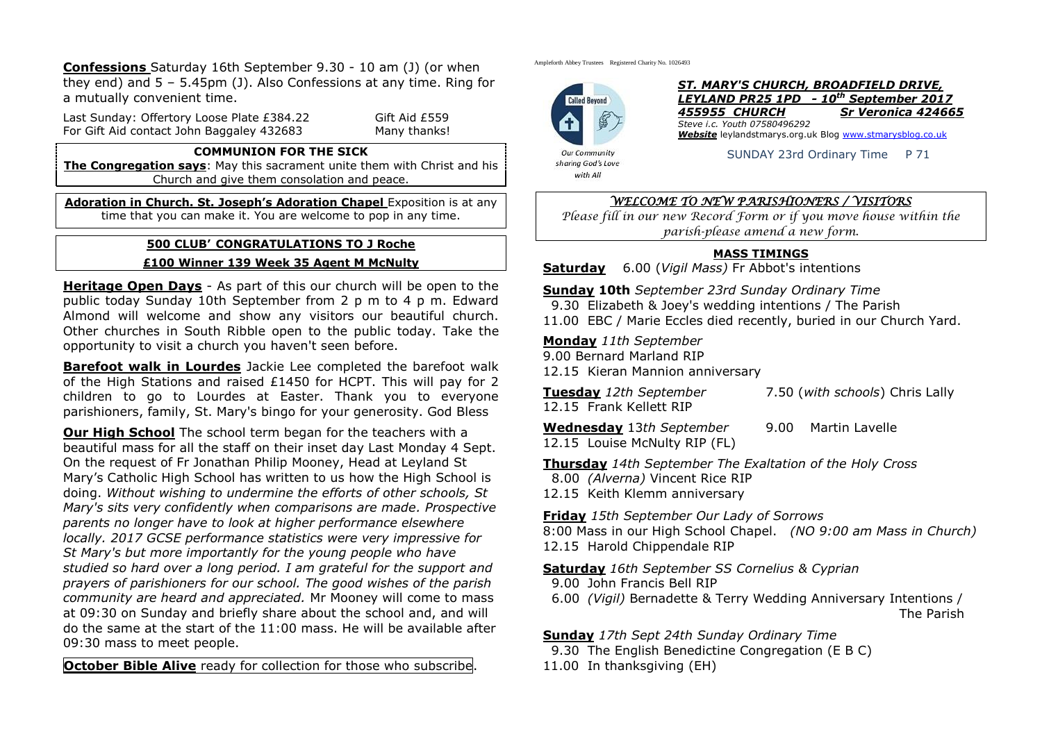**Confessions** Saturday 16th September 9.30 - 10 am (J) (or when they end) and 5 – 5.45pm (J). Also Confessions at any time. Ring for a mutually convenient time.

Last Sunday: Offertory Loose Plate £384.22 Gift Aid £559 For Gift Aid contact John Baggaley 432683 Many thanks!

#### **COMMUNION FOR THE SICK**

**The Congregation says:** May this sacrament unite them with Christ and his Church and give them consolation and peace.

**Adoration in Church. St. Joseph's Adoration Chapel** Exposition is at any time that you can make it. You are welcome to pop in any time.

#### **500 CLUB' CONGRATULATIONS TO J Roche**

#### **£100 Winner 139 Week 35 Agent M McNulty**

**Heritage Open Days** - As part of this our church will be open to the public today Sunday 10th September from 2 p m to 4 p m. Edward Almond will welcome and show any visitors our beautiful church. Other churches in South Ribble open to the public today. Take the opportunity to visit a church you haven't seen before.

**Barefoot walk in Lourdes** Jackie Lee completed the barefoot walk of the High Stations and raised £1450 for HCPT. This will pay for 2 children to go to Lourdes at Easter. Thank you to everyone parishioners, family, St. Mary's bingo for your generosity. God Bless

**Our High School** The school term began for the teachers with a beautiful mass for all the staff on their inset day Last Monday 4 Sept. On the request of Fr Jonathan Philip Mooney, Head at Leyland St Mary's Catholic High School has written to us how the High School is doing. *Without wishing to undermine the efforts of other schools, St Mary's sits very confidently when comparisons are made. Prospective parents no longer have to look at higher performance elsewhere locally. 2017 GCSE performance statistics were very impressive for St Mary's but more importantly for the young people who have studied so hard over a long period. I am grateful for the support and prayers of parishioners for our school. The good wishes of the parish community are heard and appreciated.* Mr Mooney will come to mass at 09:30 on Sunday and briefly share about the school and, and will do the same at the start of the 11:00 mass. He will be available after 09:30 mass to meet people.

**October Bible Alive** ready for collection for those who subscribe.

Ampleforth Abbey Trustees Registered Charity No. 1026493



*ST. MARY'S CHURCH, BROADFIELD DRIVE, LEYLAND PR25 1PD - 10th September 2017 455955 CHURCH Sr Veronica 424665 Steve i.c. Youth 07580496292 Website* leylandstmarys.org.uk Blog [www.stmarysblog.co.uk](http://www.stmarysblog.co.uk/)

sharing God's Love with All

SUNDAY 23rd Ordinary Time P 71

## *WELCOME TO NEW PARISHIONERS / VISITORS*

*Please fill in our new Record Form or if you move house within the parish-please amend a new form.*

## **MASS TIMINGS**

**Saturday** 6.00 (*Vigil Mass)* Fr Abbot's intentions

**Sunday 10th** *September 23rd Sunday Ordinary Time*

- 9.30 Elizabeth & Joey's wedding intentions / The Parish
- 11.00 EBC / Marie Eccles died recently, buried in our Church Yard.

**Monday** *11th September*

- 9.00 Bernard Marland RIP
- 12.15 Kieran Mannion anniversary

**Tuesday** *12th September* 7.50 (*with schools*) Chris Lally

12.15 Frank Kellett RIP

**Wednesday** 13*th September* 9.00 Martin Lavelle

12.15 Louise McNulty RIP (FL)

**Thursday** *14th September The Exaltation of the Holy Cross*

- 8.00 *(Alverna)* Vincent Rice RIP
- 12.15 Keith Klemm anniversary

**Friday** *15th September Our Lady of Sorrows*

8:00 Mass in our High School Chapel. *(NO 9:00 am Mass in Church)* 12.15 Harold Chippendale RIP

**Saturday** *16th September SS Cornelius & Cyprian*

9.00 John Francis Bell RIP

 6.00 *(Vigil)* Bernadette & Terry Wedding Anniversary Intentions / The Parish

**Sunday** *17th Sept 24th Sunday Ordinary Time*

- 9.30 The English Benedictine Congregation (E B C)
- 11.00 In thanksgiving (EH)